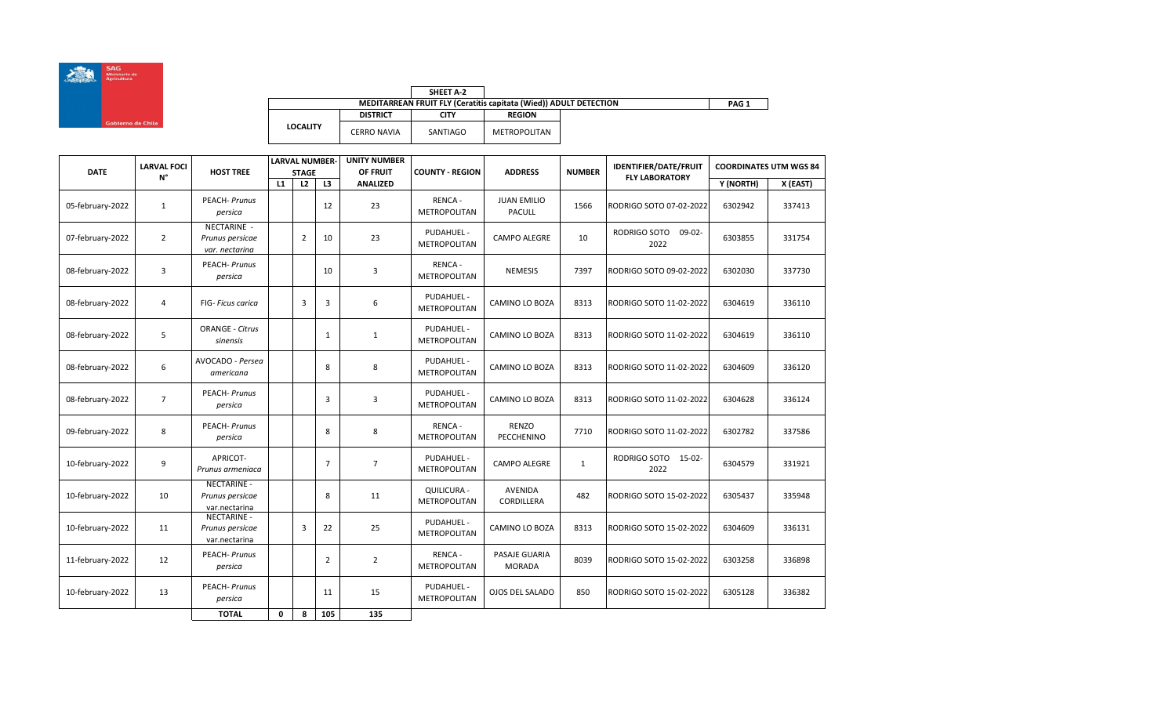

| <b>DATE</b>      | <b>LARVAL FOCI</b> | <b>HOST TREE</b>                                       |    | <b>STAGE</b>   | <b>LARVAL NUMBER-</b> | <b>UNITY NUMBER</b><br>OF FRUIT | <b>COUNTY - REGION</b>             | <b>ADDRESS</b>                      | <b>NUMBER</b> | <b>IDENTIFIER/DATE/FRUIT</b>     | <b>COORDINATES UTM WGS 84</b> |          |
|------------------|--------------------|--------------------------------------------------------|----|----------------|-----------------------|---------------------------------|------------------------------------|-------------------------------------|---------------|----------------------------------|-------------------------------|----------|
|                  | $N^{\circ}$        |                                                        | L1 | L2             | L3                    | <b>ANALIZED</b>                 |                                    |                                     |               | <b>FLY LABORATORY</b>            | Y (NORTH)                     | X (EAST) |
| 05-february-2022 | $\mathbf{1}$       | <b>PEACH-Prunus</b><br>persica                         |    |                | 12                    | 23                              | RENCA-<br><b>METROPOLITAN</b>      | <b>JUAN EMILIO</b><br><b>PACULL</b> | 1566          | RODRIGO SOTO 07-02-2022          | 6302942                       | 337413   |
| 07-february-2022 | $\overline{2}$     | NECTARINE -<br>Prunus persicae<br>var. nectarina       |    | $\overline{2}$ | 10                    | 23                              | PUDAHUEL -<br>METROPOLITAN         | CAMPO ALEGRE                        | 10            | RODRIGO SOTO<br>$09-02-$<br>2022 | 6303855                       | 331754   |
| 08-february-2022 | 3                  | <b>PEACH-Prunus</b><br>persica                         |    |                | 10                    | 3                               | <b>RENCA-</b><br>METROPOLITAN      | <b>NEMESIS</b>                      | 7397          | RODRIGO SOTO 09-02-2022          | 6302030                       | 337730   |
| 08-february-2022 | $\overline{4}$     | <b>FIG-</b> Ficus carica                               |    | 3              | 3                     | 6                               | PUDAHUEL -<br>METROPOLITAN         | <b>CAMINO LO BOZA</b>               | 8313          | RODRIGO SOTO 11-02-2022          | 6304619                       | 336110   |
| 08-february-2022 | 5                  | <b>ORANGE - Citrus</b><br>sinensis                     |    |                | $\mathbf{1}$          | $\mathbf{1}$                    | PUDAHUEL -<br>METROPOLITAN         | CAMINO LO BOZA                      | 8313          | RODRIGO SOTO 11-02-2022          | 6304619                       | 336110   |
| 08-february-2022 | 6                  | AVOCADO - Persea<br>americana                          |    |                | 8                     | 8                               | PUDAHUEL -<br>METROPOLITAN         | <b>CAMINO LO BOZA</b>               | 8313          | RODRIGO SOTO 11-02-2022          | 6304609                       | 336120   |
| 08-february-2022 | $\overline{7}$     | <b>PEACH-Prunus</b><br>persica                         |    |                | 3                     | 3                               | PUDAHUEL -<br>METROPOLITAN         | <b>CAMINO LO BOZA</b>               | 8313          | RODRIGO SOTO 11-02-2022          | 6304628                       | 336124   |
| 09-february-2022 | 8                  | <b>PEACH-Prunus</b><br>persica                         |    |                | 8                     | 8                               | RENCA-<br><b>METROPOLITAN</b>      | RENZO<br><b>PECCHENINO</b>          | 7710          | RODRIGO SOTO 11-02-2022          | 6302782                       | 337586   |
| 10-february-2022 | 9                  | APRICOT-<br>Prunus armeniaca                           |    |                | $\overline{7}$        | $\overline{7}$                  | PUDAHUEL -<br>METROPOLITAN         | <b>CAMPO ALEGRE</b>                 | 1             | RODRIGO SOTO 15-02-<br>2022      | 6304579                       | 331921   |
| 10-february-2022 | 10                 | <b>NECTARINE -</b><br>Prunus persicae<br>var.nectarina |    |                | 8                     | 11                              | QUILICURA -<br><b>METROPOLITAN</b> | AVENIDA<br>CORDILLERA               | 482           | RODRIGO SOTO 15-02-2022          | 6305437                       | 335948   |
| 10-february-2022 | 11                 | NECTARINE -<br>Prunus persicae<br>var.nectarina        |    | 3              | 22                    | 25                              | PUDAHUEL -<br>METROPOLITAN         | <b>CAMINO LO BOZA</b>               | 8313          | RODRIGO SOTO 15-02-2022          | 6304609                       | 336131   |
| 11-february-2022 | 12                 | PEACH- Prunus<br>persica                               |    |                | $\overline{2}$        | $\overline{2}$                  | RENCA-<br><b>METROPOLITAN</b>      | PASAJE GUARIA<br><b>MORADA</b>      | 8039          | RODRIGO SOTO 15-02-2022          | 6303258                       | 336898   |
| 10-february-2022 | 13                 | <b>PEACH-Prunus</b><br>persica                         |    |                | 11                    | 15                              | PUDAHUEL -<br><b>METROPOLITAN</b>  | <b>OJOS DEL SALADO</b>              | 850           | RODRIGO SOTO 15-02-2022          | 6305128                       | 336382   |
|                  |                    | <b>TOTAL</b>                                           | 0  | 8              | 105                   | 135                             |                                    |                                     |               |                                  |                               |          |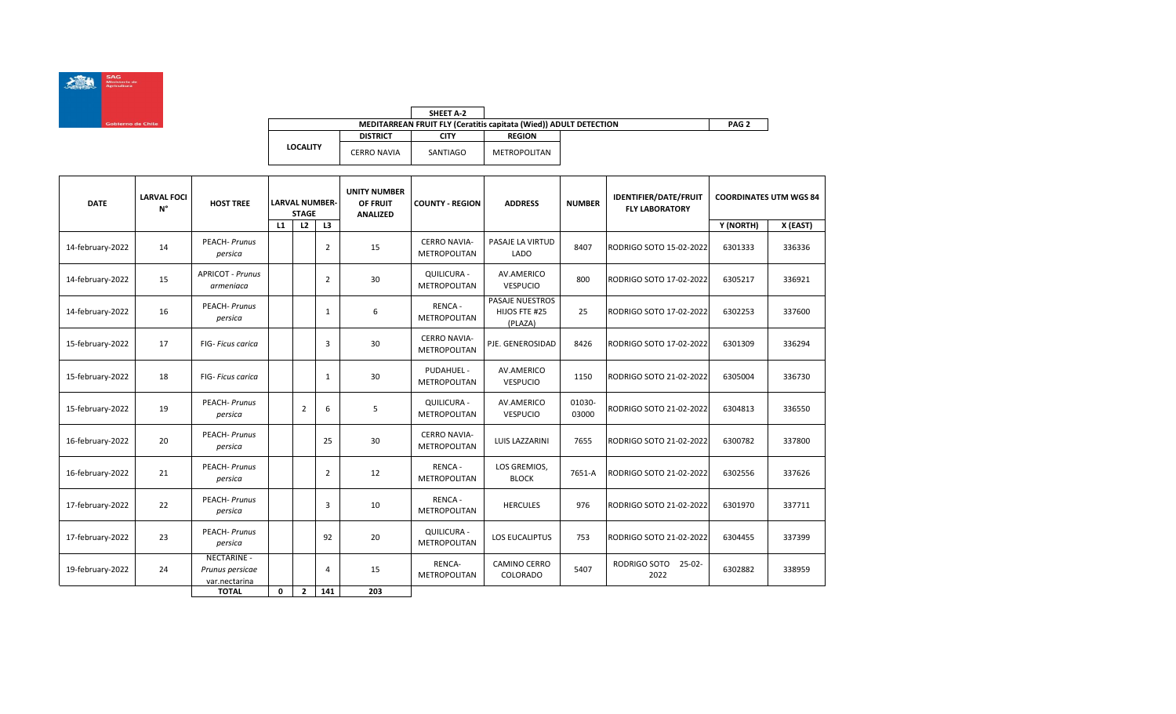

|                 |                    | SHEET A-2   |                                                                   |
|-----------------|--------------------|-------------|-------------------------------------------------------------------|
|                 |                    |             | MEDITARREAN FRUIT FLY (Ceratitis capitata (Wied)) ADULT DETECTION |
|                 | <b>DISTRICT</b>    | <b>CITY</b> | <b>REGION</b>                                                     |
| <b>LOCALITY</b> | <b>CERRO NAVIA</b> | SANTIAGO    | METROPOLITAN                                                      |

| <b>DATE</b>      | <b>LARVAL FOCI</b><br>N° | <b>HOST TREE</b>                                       |    | <b>LARVAL NUMBER-</b><br><b>STAGE</b> |                | <b>UNITY NUMBER</b><br>OF FRUIT<br><b>COUNTY - REGION</b><br><b>ANALIZED</b> |                                            | <b>ADDRESS</b>                                     | <b>NUMBER</b>   | <b>IDENTIFIER/DATE/FRUIT</b><br><b>FLY LABORATORY</b> | <b>COORDINATES UTM WGS 84</b> |          |
|------------------|--------------------------|--------------------------------------------------------|----|---------------------------------------|----------------|------------------------------------------------------------------------------|--------------------------------------------|----------------------------------------------------|-----------------|-------------------------------------------------------|-------------------------------|----------|
|                  |                          |                                                        | L1 | L2                                    | L3             |                                                                              |                                            |                                                    |                 |                                                       | Y (NORTH)                     | X (EAST) |
| 14-february-2022 | 14                       | PEACH- Prunus<br>persica                               |    |                                       | 2              | 15                                                                           | <b>CERRO NAVIA-</b><br><b>METROPOLITAN</b> | PASAJE LA VIRTUD<br>LADO                           | 8407            | RODRIGO SOTO 15-02-2022                               | 6301333                       | 336336   |
| 14-february-2022 | 15                       | <b>APRICOT - Prunus</b><br>armeniaca                   |    |                                       | $\overline{2}$ | 30                                                                           | QUILICURA -<br><b>METROPOLITAN</b>         | AV.AMERICO<br><b>VESPUCIO</b>                      | 800             | RODRIGO SOTO 17-02-2022                               | 6305217                       | 336921   |
| 14-february-2022 | 16                       | <b>PEACH-Prunus</b><br>persica                         |    |                                       | 1              | 6                                                                            | <b>RENCA-</b><br>METROPOLITAN              | <b>PASAJE NUESTROS</b><br>HIJOS FTE #25<br>(PLAZA) | 25              | RODRIGO SOTO 17-02-2022                               | 6302253                       | 337600   |
| 15-february-2022 | 17                       | <b>FIG-</b> Ficus carica                               |    |                                       | 3              | 30                                                                           | <b>CERRO NAVIA-</b><br><b>METROPOLITAN</b> | PJE. GENEROSIDAD                                   | 8426            | RODRIGO SOTO 17-02-2022                               | 6301309                       | 336294   |
| 15-february-2022 | 18                       | <b>FIG-</b> Ficus carica                               |    |                                       | 1              | 30                                                                           | PUDAHUEL -<br><b>METROPOLITAN</b>          | AV.AMERICO<br><b>VESPUCIO</b>                      | 1150            | RODRIGO SOTO 21-02-2022                               | 6305004                       | 336730   |
| 15-february-2022 | 19                       | <b>PEACH-Prunus</b><br>persica                         |    | $\overline{2}$                        | 6              | 5                                                                            | QUILICURA -<br>METROPOLITAN                | AV.AMERICO<br><b>VESPUCIO</b>                      | 01030-<br>03000 | RODRIGO SOTO 21-02-2022                               | 6304813                       | 336550   |
| 16-february-2022 | 20                       | <b>PEACH-Prunus</b><br>persica                         |    |                                       | 25             | 30                                                                           | <b>CERRO NAVIA-</b><br><b>METROPOLITAN</b> | LUIS LAZZARINI                                     | 7655            | RODRIGO SOTO 21-02-2022                               | 6300782                       | 337800   |
| 16-february-2022 | 21                       | <b>PEACH-Prunus</b><br>persica                         |    |                                       | 2              | 12                                                                           | RENCA-<br>METROPOLITAN                     | LOS GREMIOS,<br><b>BLOCK</b>                       | 7651-A          | RODRIGO SOTO 21-02-2022                               | 6302556                       | 337626   |
| 17-february-2022 | 22                       | <b>PEACH-Prunus</b><br>persica                         |    |                                       | 3              | 10                                                                           | <b>RENCA-</b><br><b>METROPOLITAN</b>       | <b>HERCULES</b>                                    | 976             | RODRIGO SOTO 21-02-2022                               | 6301970                       | 337711   |
| 17-february-2022 | 23                       | <b>PEACH-Prunus</b><br>persica                         |    |                                       | 92             | 20                                                                           | QUILICURA -<br>METROPOLITAN                | LOS EUCALIPTUS                                     | 753             | RODRIGO SOTO 21-02-2022                               | 6304455                       | 337399   |
| 19-february-2022 | 24                       | <b>NECTARINE -</b><br>Prunus persicae<br>var.nectarina |    |                                       | 4              | 15                                                                           | RENCA-<br><b>METROPOLITAN</b>              | <b>CAMINO CERRO</b><br>COLORADO                    | 5407            | RODRIGO SOTO<br>$25-02-$<br>2022                      | 6302882                       | 338959   |
|                  |                          | <b>TOTAL</b>                                           | 0  | $\overline{2}$                        | 141            | 203                                                                          |                                            |                                                    |                 |                                                       |                               |          |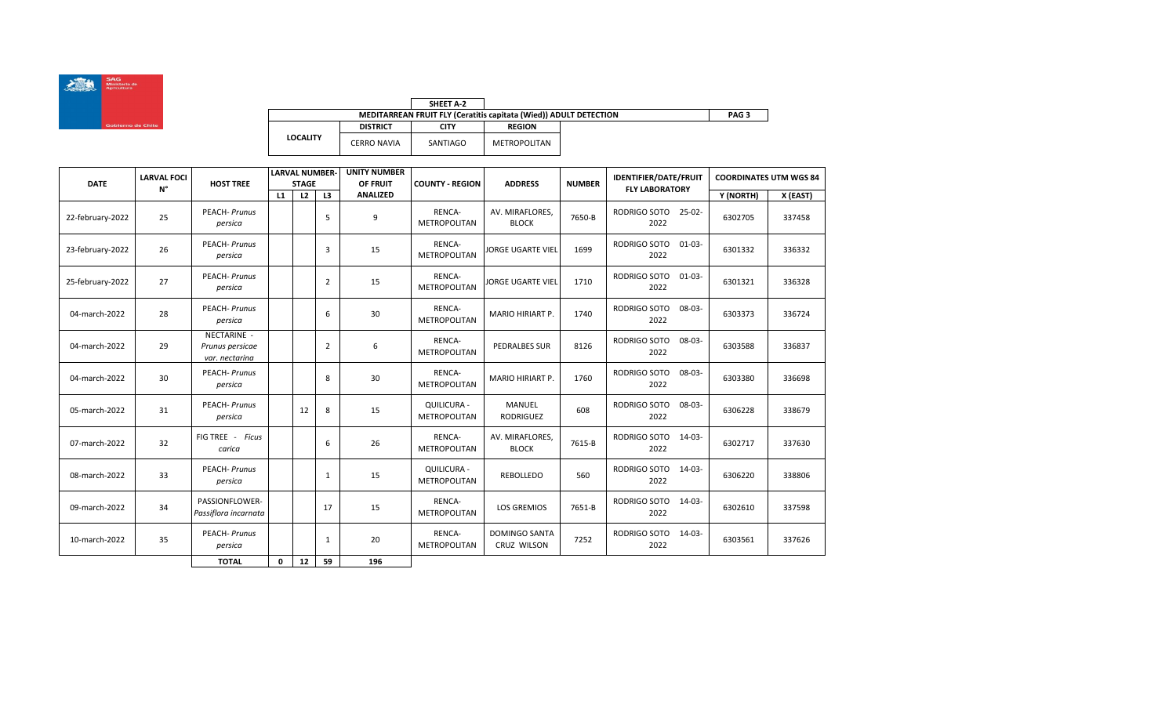

|                 |                    | SHEET A-2   |                                                                   |                  |
|-----------------|--------------------|-------------|-------------------------------------------------------------------|------------------|
|                 |                    |             | MEDITARREAN FRUIT FLY (Ceratitis capitata (Wied)) ADULT DETECTION | PAG <sub>3</sub> |
|                 | <b>DISTRICT</b>    | <b>CITY</b> | <b>REGION</b>                                                     |                  |
| <b>LOCALITY</b> | <b>CERRO NAVIA</b> | SANTIAGO    | METROPOLITAN                                                      |                  |

| <b>DATE</b>      | <b>LARVAL FOCI</b> | <b>HOST TREE</b>                                 |    | <b>LARVAL NUMBER-</b><br><b>STAGE</b> |                | <b>UNITY NUMBER</b><br>OF FRUIT | <b>COUNTY - REGION</b>                    | <b>ADDRESS</b>                      | <b>NUMBER</b> | <b>IDENTIFIER/DATE/FRUIT</b>        | <b>COORDINATES UTM WGS 84</b> |          |
|------------------|--------------------|--------------------------------------------------|----|---------------------------------------|----------------|---------------------------------|-------------------------------------------|-------------------------------------|---------------|-------------------------------------|-------------------------------|----------|
|                  | $N^{\circ}$        |                                                  | L1 | L2                                    | L3             | <b>ANALIZED</b>                 |                                           |                                     |               | <b>FLY LABORATORY</b>               | Y (NORTH)                     | X (EAST) |
| 22-february-2022 | 25                 | <b>PEACH-Prunus</b><br>persica                   |    |                                       | 5              | 9                               | RENCA-<br><b>METROPOLITAN</b>             | AV. MIRAFLORES.<br><b>BLOCK</b>     | 7650-B        | RODRIGO SOTO<br>$25 - 02 -$<br>2022 | 6302705                       | 337458   |
| 23-february-2022 | 26                 | <b>PEACH-Prunus</b><br>persica                   |    |                                       | 3              | 15                              | RENCA-<br><b>METROPOLITAN</b>             | <b>JORGE UGARTE VIEL</b>            | 1699          | RODRIGO SOTO<br>$01 - 03 -$<br>2022 | 6301332                       | 336332   |
| 25-february-2022 | 27                 | <b>PEACH-Prunus</b><br>persica                   |    |                                       | 2              | 15                              | RENCA-<br><b>METROPOLITAN</b>             | <b>JORGE UGARTE VIEL</b>            | 1710          | RODRIGO SOTO<br>$01-03-$<br>2022    | 6301321                       | 336328   |
| 04-march-2022    | 28                 | <b>PEACH-Prunus</b><br>persica                   |    |                                       | 6              | 30                              | RENCA-<br><b>METROPOLITAN</b>             | MARIO HIRIART P.                    | 1740          | RODRIGO SOTO<br>08-03-<br>2022      | 6303373                       | 336724   |
| 04-march-2022    | 29                 | NECTARINE -<br>Prunus persicae<br>var. nectarina |    |                                       | $\overline{2}$ | 6                               | RENCA-<br><b>METROPOLITAN</b>             | <b>PEDRALBES SUR</b>                | 8126          | RODRIGO SOTO<br>$08 - 03 -$<br>2022 | 6303588                       | 336837   |
| 04-march-2022    | 30                 | <b>PEACH-Prunus</b><br>persica                   |    |                                       | 8              | 30                              | RENCA-<br><b>METROPOLITAN</b>             | <b>MARIO HIRIART P.</b>             | 1760          | RODRIGO SOTO<br>$08 - 03 -$<br>2022 | 6303380                       | 336698   |
| 05-march-2022    | 31                 | <b>PEACH-Prunus</b><br>persica                   |    | 12                                    | 8              | 15                              | <b>QUILICURA -</b><br><b>METROPOLITAN</b> | <b>MANUEL</b><br><b>RODRIGUEZ</b>   | 608           | RODRIGO SOTO<br>08-03-<br>2022      | 6306228                       | 338679   |
| 07-march-2022    | 32                 | FIG TREE - Ficus<br>carica                       |    |                                       | 6              | 26                              | RENCA-<br>METROPOLITAN                    | AV. MIRAFLORES,<br><b>BLOCK</b>     | 7615-B        | RODRIGO SOTO<br>14-03-<br>2022      | 6302717                       | 337630   |
| 08-march-2022    | 33                 | <b>PEACH-Prunus</b><br>persica                   |    |                                       | 1              | 15                              | <b>QUILICURA -</b><br><b>METROPOLITAN</b> | <b>REBOLLEDO</b>                    | 560           | RODRIGO SOTO<br>14-03-<br>2022      | 6306220                       | 338806   |
| 09-march-2022    | 34                 | PASSIONFLOWER-<br>Passiflora incarnata           |    |                                       | 17             | 15                              | RENCA-<br>METROPOLITAN                    | <b>LOS GREMIOS</b>                  | 7651-B        | RODRIGO SOTO<br>$14 - 03 -$<br>2022 | 6302610                       | 337598   |
| 10-march-2022    | 35                 | <b>PEACH-Prunus</b><br>persica                   |    |                                       | 1              | 20                              | RENCA-<br>METROPOLITAN                    | <b>DOMINGO SANTA</b><br>CRUZ WILSON | 7252          | RODRIGO SOTO<br>14-03-<br>2022      | 6303561                       | 337626   |
|                  |                    | <b>TOTAL</b>                                     | 0  | 12                                    | 59             | 196                             |                                           |                                     |               |                                     |                               |          |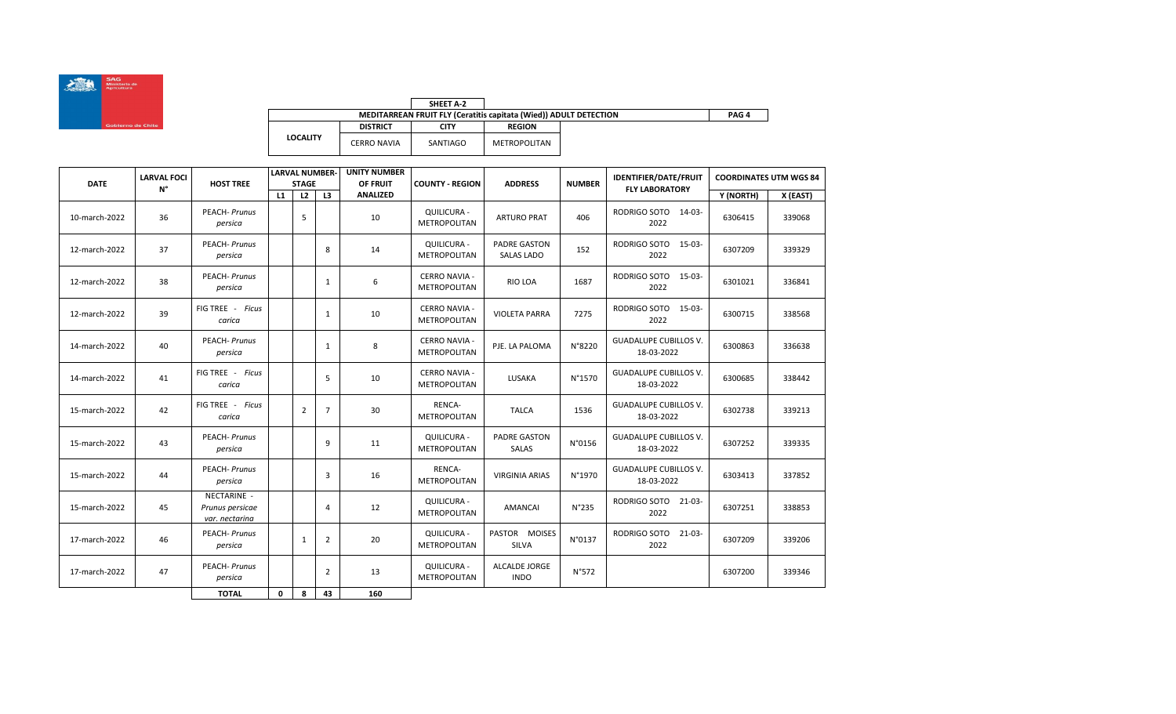

|                 |                    | SHEET A-2 |                                                                          |  |
|-----------------|--------------------|-----------|--------------------------------------------------------------------------|--|
|                 |                    |           | <b>MEDITARREAN FRUIT FLY (Ceratitis capitata (Wied)) ADULT DETECTION</b> |  |
|                 | <b>DISTRICT</b>    | CITY      | <b>REGION</b>                                                            |  |
| <b>LOCALITY</b> | <b>CERRO NAVIA</b> | SANTIAGO  | METROPOLITAN                                                             |  |

| <b>DATE</b>   | <b>LARVAL FOCI</b> | <b>HOST TREE</b>                                 |    | <b>LARVAL NUMBER-</b><br><b>STAGE</b> |                | <b>UNITY NUMBER</b><br>OF FRUIT | <b>COUNTY - REGION</b>               | <b>ADDRESS</b>                           | <b>NUMBER</b> | <b>IDENTIFIER/DATE/FRUIT</b>               | <b>COORDINATES UTM WGS 84</b> |          |
|---------------|--------------------|--------------------------------------------------|----|---------------------------------------|----------------|---------------------------------|--------------------------------------|------------------------------------------|---------------|--------------------------------------------|-------------------------------|----------|
|               | $N^{\circ}$        |                                                  | L1 | L2                                    | L3             | <b>ANALIZED</b>                 |                                      |                                          |               | <b>FLY LABORATORY</b>                      | Y (NORTH)                     | X (EAST) |
| 10-march-2022 | 36                 | <b>PEACH-Prunus</b><br>persica                   |    | 5                                     |                | 10                              | QUILICURA -<br><b>METROPOLITAN</b>   | <b>ARTURO PRAT</b>                       | 406           | RODRIGO SOTO 14-03-<br>2022                | 6306415                       | 339068   |
| 12-march-2022 | 37                 | PEACH- Prunus<br>persica                         |    |                                       | 8              | 14                              | QUILICURA -<br><b>METROPOLITAN</b>   | <b>PADRE GASTON</b><br><b>SALAS LADO</b> | 152           | RODRIGO SOTO 15-03-<br>2022                | 6307209                       | 339329   |
| 12-march-2022 | 38                 | <b>PEACH-Prunus</b><br>persica                   |    |                                       | 1              | 6                               | <b>CERRO NAVIA -</b><br>METROPOLITAN | <b>RIO LOA</b>                           | 1687          | RODRIGO SOTO<br>15-03-<br>2022             | 6301021                       | 336841   |
| 12-march-2022 | 39                 | FIG TREE - Ficus<br>carica                       |    |                                       | 1              | 10                              | <b>CERRO NAVIA -</b><br>METROPOLITAN | <b>VIOLETA PARRA</b>                     | 7275          | RODRIGO SOTO<br>15-03-<br>2022             | 6300715                       | 338568   |
| 14-march-2022 | 40                 | <b>PEACH-Prunus</b><br>persica                   |    |                                       | 1              | 8                               | <b>CERRO NAVIA -</b><br>METROPOLITAN | PJE. LA PALOMA                           | N°8220        | <b>GUADALUPE CUBILLOS V.</b><br>18-03-2022 | 6300863                       | 336638   |
| 14-march-2022 | 41                 | FIG TREE - Ficus<br>carica                       |    |                                       | 5              | 10                              | <b>CERRO NAVIA -</b><br>METROPOLITAN | <b>LUSAKA</b>                            | N°1570        | <b>GUADALUPE CUBILLOS V.</b><br>18-03-2022 | 6300685                       | 338442   |
| 15-march-2022 | 42                 | FIG TREE - Ficus<br>carica                       |    | $\overline{2}$                        | $\overline{7}$ | 30                              | RENCA-<br><b>METROPOLITAN</b>        | <b>TALCA</b>                             | 1536          | <b>GUADALUPE CUBILLOS V.</b><br>18-03-2022 | 6302738                       | 339213   |
| 15-march-2022 | 43                 | <b>PEACH-Prunus</b><br>persica                   |    |                                       | 9              | 11                              | <b>QUILICURA -</b><br>METROPOLITAN   | <b>PADRE GASTON</b><br>SALAS             | N°0156        | <b>GUADALUPE CUBILLOS V.</b><br>18-03-2022 | 6307252                       | 339335   |
| 15-march-2022 | 44                 | <b>PEACH-Prunus</b><br>persica                   |    |                                       | 3              | 16                              | RENCA-<br><b>METROPOLITAN</b>        | <b>VIRGINIA ARIAS</b>                    | N°1970        | <b>GUADALUPE CUBILLOS V.</b><br>18-03-2022 | 6303413                       | 337852   |
| 15-march-2022 | 45                 | NECTARINE -<br>Prunus persicae<br>var. nectarina |    |                                       | 4              | 12                              | <b>QUILICURA -</b><br>METROPOLITAN   | AMANCAI                                  | N°235         | RODRIGO SOTO 21-03-<br>2022                | 6307251                       | 338853   |
| 17-march-2022 | 46                 | <b>PEACH-Prunus</b><br>persica                   |    | 1                                     | $\overline{2}$ | 20                              | <b>QUILICURA -</b><br>METROPOLITAN   | PASTOR MOISES<br>SILVA                   | N°0137        | RODRIGO SOTO<br>21-03-<br>2022             | 6307209                       | 339206   |
| 17-march-2022 | 47                 | <b>PEACH-Prunus</b><br>persica                   |    |                                       | $\overline{2}$ | 13                              | <b>QUILICURA -</b><br>METROPOLITAN   | <b>ALCALDE JORGE</b><br><b>INDO</b>      | N°572         |                                            | 6307200                       | 339346   |
|               |                    | <b>TOTAL</b>                                     | 0  | 8                                     | 43             | 160                             |                                      |                                          |               |                                            |                               |          |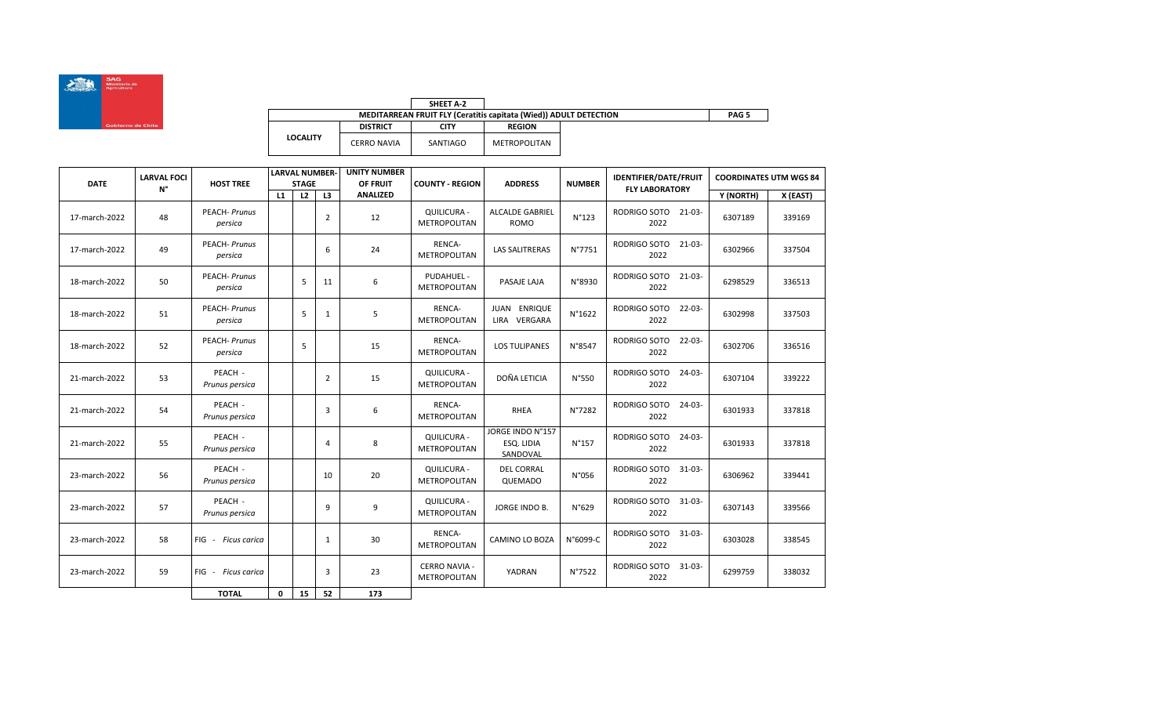

|                 |                 | SHEET A-2 |                                                                   |
|-----------------|-----------------|-----------|-------------------------------------------------------------------|
|                 |                 |           | MEDITARREAN FRUIT FLY (Ceratitis capitata (Wied)) ADULT DETECTION |
|                 | <b>DISTRICT</b> | CITY      | <b>REGION</b>                                                     |
| <b>LOCALITY</b> | CERRO NAVIA     | SANTIAGO  | METROPOLITAN                                                      |

| <b>DATE</b>   | <b>LARVAL FOCI</b> | <b>HOST TREE</b>               |    | <b>LARVAL NUMBER-</b><br><b>STAGE</b> |                | <b>UNITY NUMBER</b><br>OF FRUIT | <b>COUNTY - REGION</b>                      | <b>ADDRESS</b>                             | <b>NUMBER</b> | <b>IDENTIFIER/DATE/FRUIT</b>        | <b>COORDINATES UTM WGS 84</b> |          |
|---------------|--------------------|--------------------------------|----|---------------------------------------|----------------|---------------------------------|---------------------------------------------|--------------------------------------------|---------------|-------------------------------------|-------------------------------|----------|
|               | $N^{\circ}$        |                                | L1 | L2                                    | L3             | <b>ANALIZED</b>                 |                                             |                                            |               | <b>FLY LABORATORY</b>               | Y (NORTH)                     | X (EAST) |
| 17-march-2022 | 48                 | <b>PEACH-Prunus</b><br>persica |    |                                       | $\overline{2}$ | 12                              | <b>QUILICURA -</b><br><b>METROPOLITAN</b>   | <b>ALCALDE GABRIEL</b><br>ROMO             | N°123         | RODRIGO SOTO 21-03-<br>2022         | 6307189                       | 339169   |
| 17-march-2022 | 49                 | <b>PEACH-Prunus</b><br>persica |    |                                       | 6              | 24                              | RENCA-<br><b>METROPOLITAN</b>               | <b>LAS SALITRERAS</b>                      | N°7751        | RODRIGO SOTO 21-03-<br>2022         | 6302966                       | 337504   |
| 18-march-2022 | 50                 | <b>PEACH-Prunus</b><br>persica |    | 5                                     | 11             | 6                               | PUDAHUEL -<br><b>METROPOLITAN</b>           | PASAJE LAJA                                | N°8930        | RODRIGO SOTO<br>21-03-<br>2022      | 6298529                       | 336513   |
| 18-march-2022 | 51                 | <b>PEACH-Prunus</b><br>persica |    | 5                                     | 1              | 5                               | RENCA-<br><b>METROPOLITAN</b>               | JUAN ENRIQUE<br>LIRA VERGARA               | N°1622        | RODRIGO SOTO<br>22-03-<br>2022      | 6302998                       | 337503   |
| 18-march-2022 | 52                 | <b>PEACH-Prunus</b><br>persica |    | 5                                     |                | 15                              | RENCA-<br><b>METROPOLITAN</b>               | <b>LOS TULIPANES</b>                       | N°8547        | RODRIGO SOTO<br>$22 - 03 -$<br>2022 | 6302706                       | 336516   |
| 21-march-2022 | 53                 | PEACH -<br>Prunus persica      |    |                                       | 2              | 15                              | <b>QUILICURA -</b><br><b>METROPOLITAN</b>   | DOÑA LETICIA                               | N°550         | RODRIGO SOTO<br>24-03-<br>2022      | 6307104                       | 339222   |
| 21-march-2022 | 54                 | PEACH -<br>Prunus persica      |    |                                       | 3              | 6                               | RENCA-<br><b>METROPOLITAN</b>               | RHEA                                       | N°7282        | RODRIGO SOTO<br>$24 - 03 -$<br>2022 | 6301933                       | 337818   |
| 21-march-2022 | 55                 | PEACH -<br>Prunus persica      |    |                                       | $\overline{4}$ | 8                               | <b>QUILICURA -</b><br>METROPOLITAN          | JORGE INDO N°157<br>ESO. LIDIA<br>SANDOVAL | N°157         | RODRIGO SOTO<br>$24-03-$<br>2022    | 6301933                       | 337818   |
| 23-march-2022 | 56                 | PEACH -<br>Prunus persica      |    |                                       | 10             | 20                              | <b>QUILICURA -</b><br>METROPOLITAN          | <b>DEL CORRAL</b><br>QUEMADO               | N°056         | RODRIGO SOTO<br>$31 - 03 -$<br>2022 | 6306962                       | 339441   |
| 23-march-2022 | 57                 | PEACH -<br>Prunus persica      |    |                                       | 9              | 9                               | <b>QUILICURA -</b><br><b>METROPOLITAN</b>   | JORGE INDO B.                              | N°629         | RODRIGO SOTO<br>$31 - 03 -$<br>2022 | 6307143                       | 339566   |
| 23-march-2022 | 58                 | FIG - Ficus carica             |    |                                       | $\mathbf{1}$   | 30                              | RENCA-<br><b>METROPOLITAN</b>               | <b>CAMINO LO BOZA</b>                      | N°6099-C      | RODRIGO SOTO<br>31-03-<br>2022      | 6303028                       | 338545   |
| 23-march-2022 | 59                 | FIG - Ficus carica             |    |                                       | 3              | 23                              | <b>CERRO NAVIA -</b><br><b>METROPOLITAN</b> | YADRAN                                     | N°7522        | RODRIGO SOTO<br>31-03-<br>2022      | 6299759                       | 338032   |
|               |                    | <b>TOTAL</b>                   | 0  | 15                                    | 52             | 173                             |                                             |                                            |               |                                     |                               |          |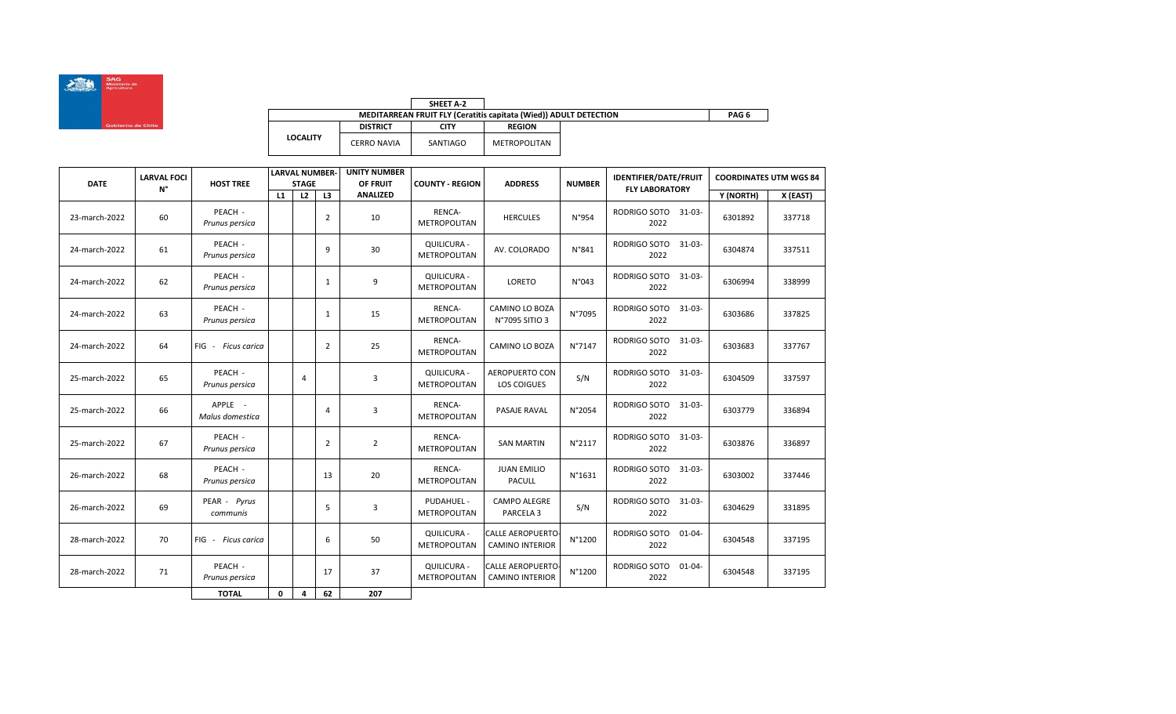

|                 |                    | SHEET A-2   |                                                                   |       |
|-----------------|--------------------|-------------|-------------------------------------------------------------------|-------|
|                 |                    |             | MEDITARREAN FRUIT FLY (Ceratitis capitata (Wied)) ADULT DETECTION | PAG 6 |
|                 | <b>DISTRICT</b>    | <b>CITY</b> | <b>REGION</b>                                                     |       |
| <b>LOCALITY</b> | <b>CERRO NAVIA</b> | SANTIAGO    | METROPOLITAN                                                      |       |

| <b>DATE</b>   | <b>LARVAL FOCI</b> | <b>HOST TREE</b>           |    | <b>LARVAL NUMBER-</b><br><b>STAGE</b> |                | <b>UNITY NUMBER</b><br>OF FRUIT | <b>COUNTY - REGION</b>             | <b>ADDRESS</b>                                    | <b>NUMBER</b> | <b>IDENTIFIER/DATE/FRUIT</b>        | <b>COORDINATES UTM WGS 84</b> |          |
|---------------|--------------------|----------------------------|----|---------------------------------------|----------------|---------------------------------|------------------------------------|---------------------------------------------------|---------------|-------------------------------------|-------------------------------|----------|
|               | $N^{\circ}$        |                            | L1 | L2                                    | L3             | <b>ANALIZED</b>                 |                                    |                                                   |               | <b>FLY LABORATORY</b>               | Y (NORTH)                     | X (EAST) |
| 23-march-2022 | 60                 | PEACH -<br>Prunus persica  |    |                                       | $\overline{2}$ | 10                              | RENCA-<br><b>METROPOLITAN</b>      | <b>HERCULES</b>                                   | N°954         | RODRIGO SOTO 31-03-<br>2022         | 6301892                       | 337718   |
| 24-march-2022 | 61                 | PEACH -<br>Prunus persica  |    |                                       | 9              | 30                              | QUILICURA -<br><b>METROPOLITAN</b> | AV. COLORADO                                      | N°841         | RODRIGO SOTO<br>$31 - 03 -$<br>2022 | 6304874                       | 337511   |
| 24-march-2022 | 62                 | PEACH -<br>Prunus persica  |    |                                       | 1              | 9                               | QUILICURA -<br>METROPOLITAN        | LORETO                                            | N°043         | RODRIGO SOTO<br>$31 - 03 -$<br>2022 | 6306994                       | 338999   |
| 24-march-2022 | 63                 | PEACH -<br>Prunus persica  |    |                                       | 1              | 15                              | RENCA-<br><b>METROPOLITAN</b>      | <b>CAMINO LO BOZA</b><br>N°7095 SITIO 3           | N°7095        | RODRIGO SOTO<br>$31 - 03 -$<br>2022 | 6303686                       | 337825   |
| 24-march-2022 | 64                 | FIG - Ficus carica         |    |                                       | 2              | 25                              | RENCA-<br><b>METROPOLITAN</b>      | CAMINO LO BOZA                                    | N°7147        | RODRIGO SOTO<br>$31 - 03 -$<br>2022 | 6303683                       | 337767   |
| 25-march-2022 | 65                 | PEACH -<br>Prunus persica  |    | 4                                     |                | 3                               | <b>QUILICURA -</b><br>METROPOLITAN | <b>AEROPUERTO CON</b><br>LOS COIGUES              | S/N           | RODRIGO SOTO<br>$31 - 03 -$<br>2022 | 6304509                       | 337597   |
| 25-march-2022 | 66                 | APPLE -<br>Malus domestica |    |                                       | 4              | 3                               | RENCA-<br><b>METROPOLITAN</b>      | <b>PASAJE RAVAL</b>                               | N°2054        | RODRIGO SOTO<br>$31 - 03 -$<br>2022 | 6303779                       | 336894   |
| 25-march-2022 | 67                 | PEACH -<br>Prunus persica  |    |                                       | $\overline{2}$ | $\overline{2}$                  | RENCA-<br><b>METROPOLITAN</b>      | <b>SAN MARTIN</b>                                 | N°2117        | RODRIGO SOTO<br>$31 - 03 -$<br>2022 | 6303876                       | 336897   |
| 26-march-2022 | 68                 | PEACH -<br>Prunus persica  |    |                                       | 13             | 20                              | RENCA-<br>METROPOLITAN             | <b>JUAN EMILIO</b><br>PACULL                      | N°1631        | RODRIGO SOTO<br>$31 - 03 -$<br>2022 | 6303002                       | 337446   |
| 26-march-2022 | 69                 | PEAR - Pyrus<br>communis   |    |                                       | 5              | $\overline{3}$                  | PUDAHUEL -<br><b>METROPOLITAN</b>  | <b>CAMPO ALEGRE</b><br>PARCELA <sub>3</sub>       | S/N           | RODRIGO SOTO<br>31-03-<br>2022      | 6304629                       | 331895   |
| 28-march-2022 | 70                 | FIG - Ficus carica         |    |                                       | 6              | 50                              | QUILICURA -<br><b>METROPOLITAN</b> | <b>CALLE AEROPUERTO</b><br><b>CAMINO INTERIOR</b> | N°1200        | RODRIGO SOTO<br>$01 - 04 -$<br>2022 | 6304548                       | 337195   |
| 28-march-2022 | 71                 | PEACH -<br>Prunus persica  |    |                                       | 17             | 37                              | QUILICURA -<br>METROPOLITAN        | CALLE AEROPUERTO<br><b>CAMINO INTERIOR</b>        | N°1200        | RODRIGO SOTO<br>$01 - 04 -$<br>2022 | 6304548                       | 337195   |
|               |                    | <b>TOTAL</b>               | 0  | 4                                     | 62             | 207                             |                                    |                                                   |               |                                     |                               |          |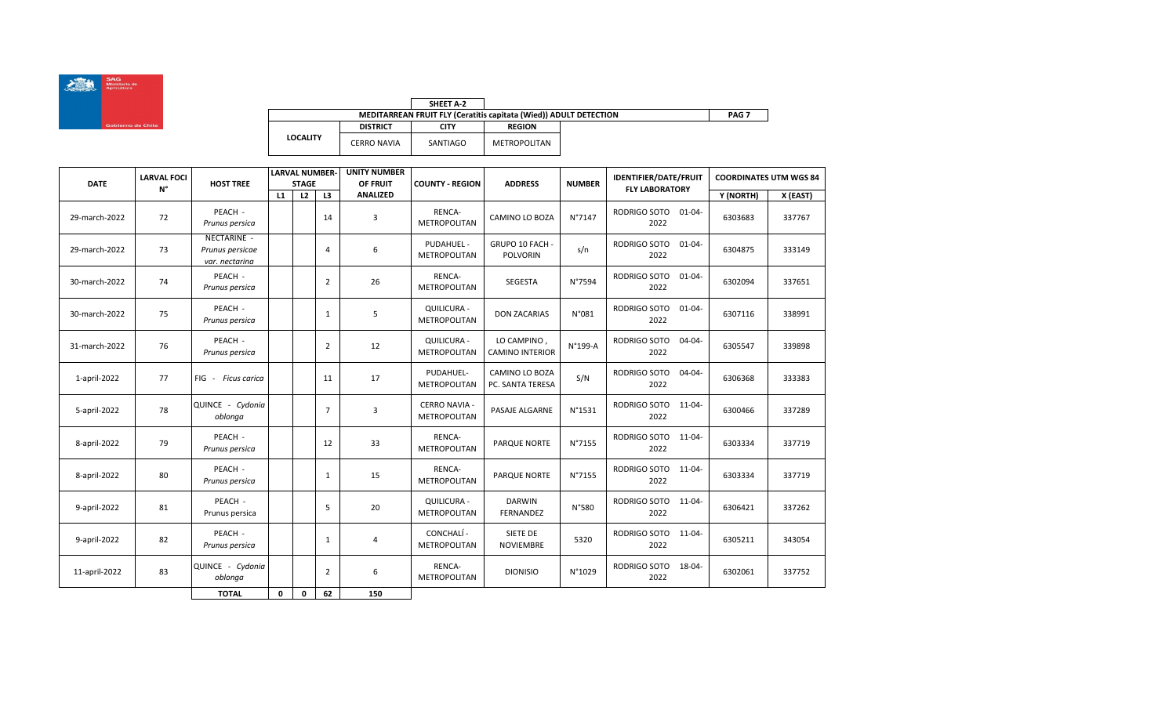

|                 |                    | SHEET A-2                                                         |                  |  |
|-----------------|--------------------|-------------------------------------------------------------------|------------------|--|
|                 |                    | MEDITARREAN FRUIT FLY (Ceratitis capitata (Wied)) ADULT DETECTION | PAG <sub>7</sub> |  |
|                 | <b>DISTRICT</b>    | CITY                                                              | <b>REGION</b>    |  |
| <b>LOCALITY</b> | <b>CERRO NAVIA</b> | SANTIAGO                                                          | METROPOLITAN     |  |

| <b>DATE</b>   | <b>LARVAL FOCI</b> | <b>HOST TREE</b>                                 |    | <b>LARVAL NUMBER-</b><br><b>STAGE</b> |                | <b>UNITY NUMBER</b><br>OF FRUIT | <b>COUNTY - REGION</b>                      | <b>ADDRESS</b>                        | <b>NUMBER</b> | <b>IDENTIFIER/DATE/FRUIT</b>        | <b>COORDINATES UTM WGS 84</b> |          |
|---------------|--------------------|--------------------------------------------------|----|---------------------------------------|----------------|---------------------------------|---------------------------------------------|---------------------------------------|---------------|-------------------------------------|-------------------------------|----------|
|               | $N^{\circ}$        |                                                  | L1 | L2                                    | L3             | <b>ANALIZED</b>                 |                                             |                                       |               | <b>FLY LABORATORY</b>               | Y (NORTH)                     | X (EAST) |
| 29-march-2022 | 72                 | PEACH -<br>Prunus persica                        |    |                                       | 14             | 3                               | RENCA-<br><b>METROPOLITAN</b>               | <b>CAMINO LO BOZA</b>                 | N°7147        | RODRIGO SOTO 01-04-<br>2022         | 6303683                       | 337767   |
| 29-march-2022 | 73                 | NECTARINE -<br>Prunus persicae<br>var. nectarina |    |                                       | 4              | 6                               | PUDAHUEL -<br>METROPOLITAN                  | GRUPO 10 FACH -<br><b>POLVORIN</b>    | s/n           | RODRIGO SOTO<br>$01 - 04 -$<br>2022 | 6304875                       | 333149   |
| 30-march-2022 | 74                 | PEACH -<br>Prunus persica                        |    |                                       | $\overline{2}$ | 26                              | RENCA-<br>METROPOLITAN                      | SEGESTA                               | N°7594        | RODRIGO SOTO<br>$01 - 04 -$<br>2022 | 6302094                       | 337651   |
| 30-march-2022 | 75                 | PEACH -<br>Prunus persica                        |    |                                       | $\mathbf{1}$   | 5                               | QUILICURA -<br><b>METROPOLITAN</b>          | <b>DON ZACARIAS</b>                   | N°081         | RODRIGO SOTO<br>$01 - 04 -$<br>2022 | 6307116                       | 338991   |
| 31-march-2022 | 76                 | PEACH -<br>Prunus persica                        |    |                                       | $\overline{2}$ | 12                              | QUILICURA -<br>METROPOLITAN                 | LO CAMPINO,<br><b>CAMINO INTERIOR</b> | N°199-A       | RODRIGO SOTO<br>$04 - 04 -$<br>2022 | 6305547                       | 339898   |
| 1-april-2022  | 77                 | FIG - Ficus carica                               |    |                                       | 11             | 17                              | PUDAHUEL-<br><b>METROPOLITAN</b>            | CAMINO LO BOZA<br>PC. SANTA TERESA    | S/N           | RODRIGO SOTO<br>$04 - 04 -$<br>2022 | 6306368                       | 333383   |
| 5-april-2022  | 78                 | QUINCE - Cydonia<br>oblonga                      |    |                                       | $\overline{7}$ | 3                               | <b>CERRO NAVIA -</b><br><b>METROPOLITAN</b> | PASAJE ALGARNE                        | N°1531        | RODRIGO SOTO<br>11-04-<br>2022      | 6300466                       | 337289   |
| 8-april-2022  | 79                 | PEACH -<br>Prunus persica                        |    |                                       | 12             | 33                              | RENCA-<br><b>METROPOLITAN</b>               | <b>PARQUE NORTE</b>                   | N°7155        | RODRIGO SOTO<br>11-04-<br>2022      | 6303334                       | 337719   |
| 8-april-2022  | 80                 | PEACH -<br>Prunus persica                        |    |                                       | $\mathbf{1}$   | 15                              | RENCA-<br>METROPOLITAN                      | <b>PARQUE NORTE</b>                   | N°7155        | RODRIGO SOTO<br>11-04-<br>2022      | 6303334                       | 337719   |
| 9-april-2022  | 81                 | PEACH -<br>Prunus persica                        |    |                                       | 5              | 20                              | QUILICURA -<br><b>METROPOLITAN</b>          | <b>DARWIN</b><br><b>FERNANDEZ</b>     | N°580         | RODRIGO SOTO<br>11-04-<br>2022      | 6306421                       | 337262   |
| 9-april-2022  | 82                 | PEACH -<br>Prunus persica                        |    |                                       | $\mathbf{1}$   | 4                               | CONCHALÍ -<br><b>METROPOLITAN</b>           | SIETE DE<br><b>NOVIEMBRE</b>          | 5320          | RODRIGO SOTO 11-04-<br>2022         | 6305211                       | 343054   |
| 11-april-2022 | 83                 | QUINCE - Cydonia<br>oblonga                      |    |                                       | 2              | 6                               | RENCA-<br><b>METROPOLITAN</b>               | <b>DIONISIO</b>                       | N°1029        | RODRIGO SOTO<br>18-04-<br>2022      | 6302061                       | 337752   |
|               |                    | <b>TOTAL</b>                                     | 0  | 0                                     | 62             | 150                             |                                             |                                       |               |                                     |                               |          |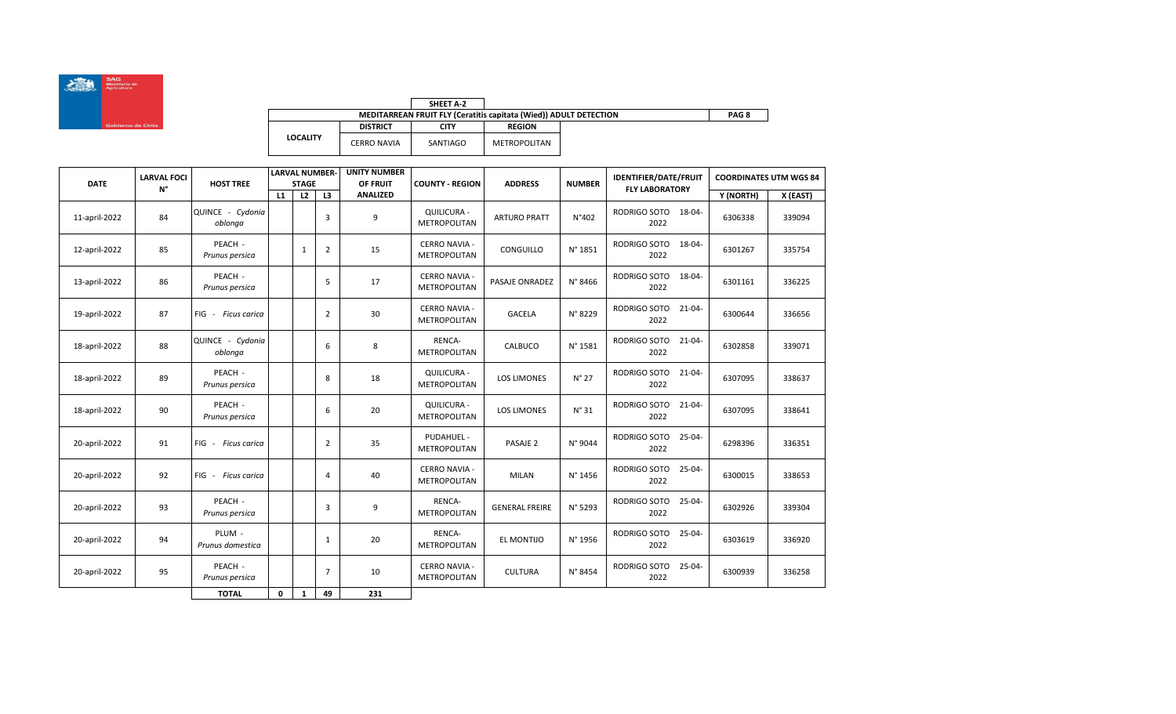

|                 |                 | SHEET A-2                                                         |                  |  |
|-----------------|-----------------|-------------------------------------------------------------------|------------------|--|
|                 |                 | MEDITARREAN FRUIT FLY (Ceratitis capitata (Wied)) ADULT DETECTION | PAG <sub>8</sub> |  |
|                 | <b>DISTRICT</b> | CITY                                                              | <b>REGION</b>    |  |
| <b>LOCALITY</b> | CERRO NAVIA     | SANTIAGO                                                          | METROPOLITAN     |  |

| <b>DATE</b>   | <b>LARVAL FOCI</b> | <b>UNITY NUMBER</b><br><b>LARVAL NUMBER-</b><br><b>HOST TREE</b><br>OF FRUIT<br><b>STAGE</b><br><b>COUNTY - REGION</b> |    | <b>ADDRESS</b> | <b>NUMBER</b>  | <b>IDENTIFIER/DATE/FRUIT</b> | <b>COORDINATES UTM WGS 84</b>               |                       |                |                                     |           |          |
|---------------|--------------------|------------------------------------------------------------------------------------------------------------------------|----|----------------|----------------|------------------------------|---------------------------------------------|-----------------------|----------------|-------------------------------------|-----------|----------|
|               | N°                 |                                                                                                                        | L1 | L2             | L3             | <b>ANALIZED</b>              |                                             |                       |                | <b>FLY LABORATORY</b>               | Y (NORTH) | X (EAST) |
| 11-april-2022 | 84                 | QUINCE - Cydonia<br>oblonga                                                                                            |    |                | 3              | 9                            | <b>QUILICURA -</b><br><b>METROPOLITAN</b>   | <b>ARTURO PRATT</b>   | N°402          | RODRIGO SOTO<br>18-04-<br>2022      | 6306338   | 339094   |
| 12-april-2022 | 85                 | PEACH -<br>Prunus persica                                                                                              |    | $\mathbf 1$    | 2              | 15                           | <b>CERRO NAVIA -</b><br><b>METROPOLITAN</b> | CONGUILLO             | N° 1851        | RODRIGO SOTO<br>18-04-<br>2022      | 6301267   | 335754   |
| 13-april-2022 | 86                 | PEACH -<br>Prunus persica                                                                                              |    |                | 5              | 17                           | <b>CERRO NAVIA -</b><br>METROPOLITAN        | PASAJE ONRADEZ        | N° 8466        | RODRIGO SOTO<br>18-04-<br>2022      | 6301161   | 336225   |
| 19-april-2022 | 87                 | FIG - Ficus carica                                                                                                     |    |                | $\overline{2}$ | 30                           | <b>CERRO NAVIA -</b><br><b>METROPOLITAN</b> | <b>GACELA</b>         | N° 8229        | RODRIGO SOTO<br>$21 - 04 -$<br>2022 | 6300644   | 336656   |
| 18-april-2022 | 88                 | QUINCE - Cydonia<br>oblonga                                                                                            |    |                | 6              | 8                            | RENCA-<br>METROPOLITAN                      | CALBUCO               | N° 1581        | RODRIGO SOTO<br>$21 - 04 -$<br>2022 | 6302858   | 339071   |
| 18-april-2022 | 89                 | PEACH -<br>Prunus persica                                                                                              |    |                | 8              | 18                           | QUILICURA -<br>METROPOLITAN                 | <b>LOS LIMONES</b>    | $N^{\circ}$ 27 | RODRIGO SOTO<br>$21 - 04 -$<br>2022 | 6307095   | 338637   |
| 18-april-2022 | 90                 | PEACH -<br>Prunus persica                                                                                              |    |                | 6              | 20                           | QUILICURA -<br><b>METROPOLITAN</b>          | <b>LOS LIMONES</b>    | $N^{\circ}31$  | RODRIGO SOTO<br>$21 - 04 -$<br>2022 | 6307095   | 338641   |
| 20-april-2022 | 91                 | $FIG -$<br><b>Ficus carica</b>                                                                                         |    |                | $\overline{2}$ | 35                           | PUDAHUEL -<br><b>METROPOLITAN</b>           | PASAJE <sub>2</sub>   | N° 9044        | RODRIGO SOTO<br>$25 - 04 -$<br>2022 | 6298396   | 336351   |
| 20-april-2022 | 92                 | FIG - Ficus carica                                                                                                     |    |                | 4              | 40                           | <b>CERRO NAVIA -</b><br><b>METROPOLITAN</b> | <b>MILAN</b>          | N° 1456        | RODRIGO SOTO<br>$25 - 04 -$<br>2022 | 6300015   | 338653   |
| 20-april-2022 | 93                 | PEACH -<br>Prunus persica                                                                                              |    |                | 3              | 9                            | RENCA-<br><b>METROPOLITAN</b>               | <b>GENERAL FREIRE</b> | N° 5293        | RODRIGO SOTO<br>25-04-<br>2022      | 6302926   | 339304   |
| 20-april-2022 | 94                 | PLUM -<br>Prunus domestica                                                                                             |    |                | 1              | 20                           | RENCA-<br><b>METROPOLITAN</b>               | EL MONTIJO            | N° 1956        | RODRIGO SOTO<br>$25 - 04 -$<br>2022 | 6303619   | 336920   |
| 20-april-2022 | 95                 | PEACH -<br>Prunus persica                                                                                              |    |                | 7              | 10                           | <b>CERRO NAVIA -</b><br>METROPOLITAN        | <b>CULTURA</b>        | N° 8454        | RODRIGO SOTO<br>25-04-<br>2022      | 6300939   | 336258   |
|               |                    | <b>TOTAL</b>                                                                                                           | 0  | $\mathbf{1}$   | 49             | 231                          |                                             |                       |                |                                     |           |          |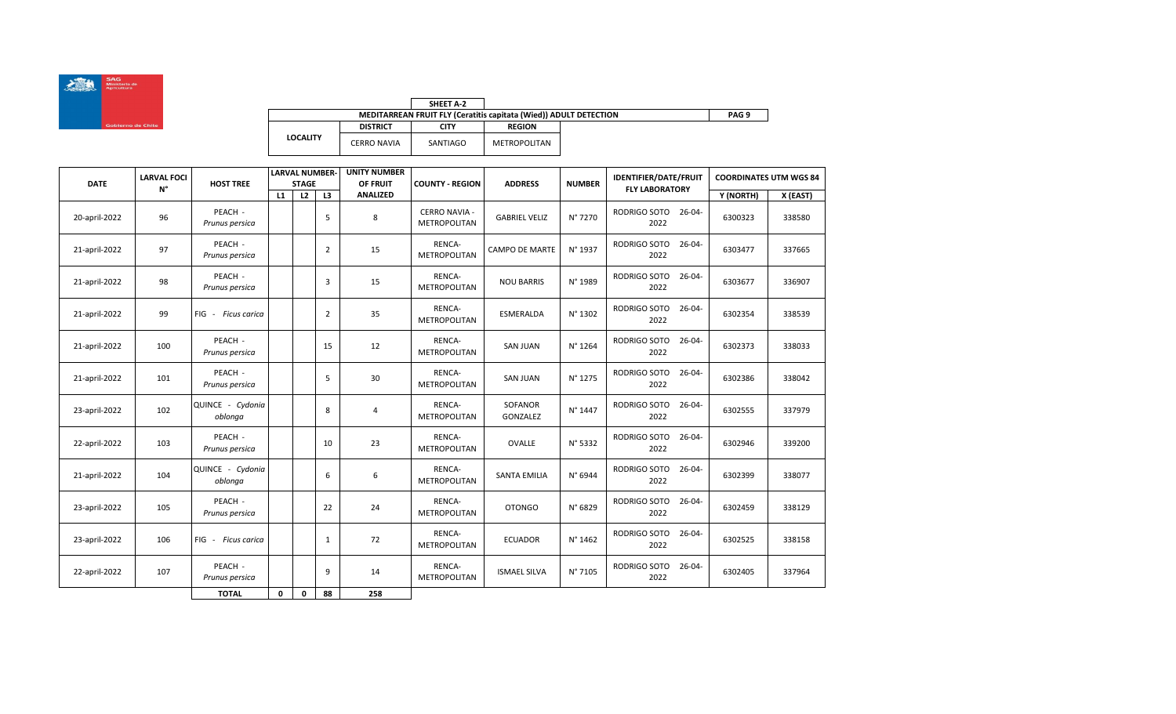

|                 |                    | SHEET A-2                                                                |                  |  |  |
|-----------------|--------------------|--------------------------------------------------------------------------|------------------|--|--|
|                 |                    | <b>MEDITARREAN FRUIT FLY (Ceratitis capitata (Wied)) ADULT DETECTION</b> | PAG <sub>9</sub> |  |  |
|                 | <b>DISTRICT</b>    | <b>CITY</b>                                                              | <b>REGION</b>    |  |  |
| <b>LOCALITY</b> | <b>CERRO NAVIA</b> | SANTIAGO                                                                 | METROPOLITAN     |  |  |

| <b>DATE</b>   | <b>LARVAL FOCI</b> | <b>HOST TREE</b>            |    | <b>LARVAL NUMBER-</b><br><b>STAGE</b> |    | <b>UNITY NUMBER</b><br>OF FRUIT | <b>COUNTY - REGION</b>               | <b>ADDRESS</b>        | <b>NUMBER</b> | <b>IDENTIFIER/DATE/FRUIT</b>        | <b>COORDINATES UTM WGS 84</b> |          |
|---------------|--------------------|-----------------------------|----|---------------------------------------|----|---------------------------------|--------------------------------------|-----------------------|---------------|-------------------------------------|-------------------------------|----------|
|               | N°                 |                             | L1 | L <sub>2</sub>                        | L3 | <b>ANALIZED</b>                 |                                      |                       |               | <b>FLY LABORATORY</b>               | Y (NORTH)                     | X (EAST) |
| 20-april-2022 | 96                 | PEACH -<br>Prunus persica   |    |                                       | 5  | 8                               | <b>CERRO NAVIA -</b><br>METROPOLITAN | <b>GABRIEL VELIZ</b>  | N° 7270       | RODRIGO SOTO<br>26-04-<br>2022      | 6300323                       | 338580   |
| 21-april-2022 | 97                 | PEACH -<br>Prunus persica   |    |                                       | 2  | 15                              | RENCA-<br><b>METROPOLITAN</b>        | <b>CAMPO DE MARTE</b> | N° 1937       | RODRIGO SOTO<br>$26 - 04 -$<br>2022 | 6303477                       | 337665   |
| 21-april-2022 | 98                 | PEACH -<br>Prunus persica   |    |                                       | 3  | 15                              | RENCA-<br>METROPOLITAN               | <b>NOU BARRIS</b>     | N° 1989       | RODRIGO SOTO<br>$26 - 04 -$<br>2022 | 6303677                       | 336907   |
| 21-april-2022 | 99                 | FIG - Ficus carica          |    |                                       | 2  | 35                              | RENCA-<br><b>METROPOLITAN</b>        | <b>ESMERALDA</b>      | N° 1302       | RODRIGO SOTO<br>$26 - 04 -$<br>2022 | 6302354                       | 338539   |
| 21-april-2022 | 100                | PEACH -<br>Prunus persica   |    |                                       | 15 | 12                              | RENCA-<br><b>METROPOLITAN</b>        | <b>SAN JUAN</b>       | N° 1264       | RODRIGO SOTO<br>$26 - 04 -$<br>2022 | 6302373                       | 338033   |
| 21-april-2022 | 101                | PEACH -<br>Prunus persica   |    |                                       | 5  | 30                              | RENCA-<br>METROPOLITAN               | <b>SAN JUAN</b>       | N° 1275       | RODRIGO SOTO<br>$26 - 04 -$<br>2022 | 6302386                       | 338042   |
| 23-april-2022 | 102                | QUINCE - Cydonia<br>oblonga |    |                                       | 8  | 4                               | <b>RENCA-</b><br><b>METROPOLITAN</b> | SOFANOR<br>GONZALEZ   | N° 1447       | RODRIGO SOTO<br>26-04-<br>2022      | 6302555                       | 337979   |
| 22-april-2022 | 103                | PEACH -<br>Prunus persica   |    |                                       | 10 | 23                              | RENCA-<br><b>METROPOLITAN</b>        | OVALLE                | N° 5332       | RODRIGO SOTO<br>$26 - 04 -$<br>2022 | 6302946                       | 339200   |
| 21-april-2022 | 104                | QUINCE - Cydonia<br>oblonga |    |                                       | 6  | 6                               | RENCA-<br><b>METROPOLITAN</b>        | <b>SANTA EMILIA</b>   | N° 6944       | RODRIGO SOTO<br>$26 - 04 -$<br>2022 | 6302399                       | 338077   |
| 23-april-2022 | 105                | PEACH -<br>Prunus persica   |    |                                       | 22 | 24                              | RENCA-<br><b>METROPOLITAN</b>        | <b>OTONGO</b>         | N° 6829       | RODRIGO SOTO<br>26-04-<br>2022      | 6302459                       | 338129   |
| 23-april-2022 | 106                | FIG - Ficus carica          |    |                                       | 1  | 72                              | RENCA-<br>METROPOLITAN               | <b>ECUADOR</b>        | N° 1462       | RODRIGO SOTO<br>$26 - 04 -$<br>2022 | 6302525                       | 338158   |
| 22-april-2022 | 107                | PEACH -<br>Prunus persica   |    |                                       | 9  | 14                              | RENCA-<br>METROPOLITAN               | <b>ISMAEL SILVA</b>   | N° 7105       | RODRIGO SOTO<br>26-04-<br>2022      | 6302405                       | 337964   |
|               |                    | <b>TOTAL</b>                | 0  | 0                                     | 88 | 258                             |                                      |                       |               |                                     |                               |          |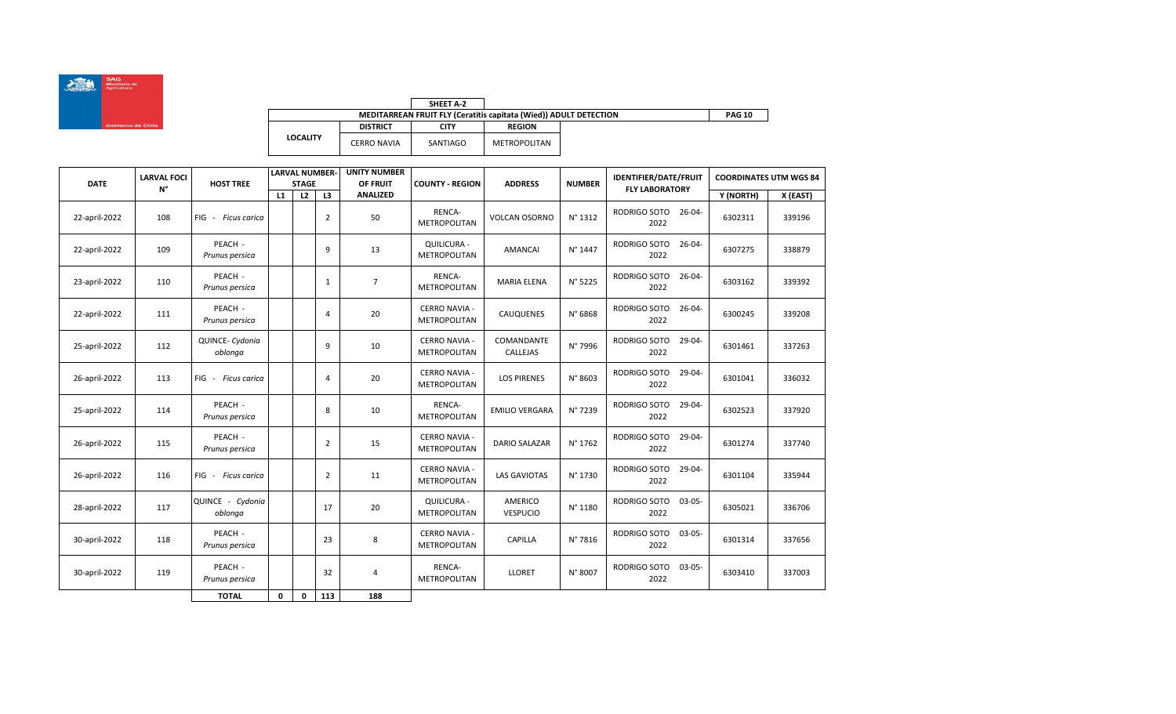

|                 |                 | SHEET A-2   |                                                                   |               |
|-----------------|-----------------|-------------|-------------------------------------------------------------------|---------------|
|                 |                 |             | MEDITARREAN FRUIT FLY (Ceratitis capitata (Wied)) ADULT DETECTION | <b>PAG 10</b> |
|                 | <b>DISTRICT</b> | <b>CITY</b> | <b>REGION</b>                                                     |               |
| <b>LOCALITY</b> | CERRO NAVIA     | SANTIAGO    | METROPOLITAN                                                      |               |

| DATE          | <b>LARVAL FOCI</b> | <b>HOST TREE</b>            |    | <b>LARVAL NUMBER-</b><br><b>STAGE</b> |                | <b>UNITY NUMBER</b><br>OF FRUIT | <b>COUNTY - REGION</b>                      | <b>ADDRESS</b>             | <b>NUMBER</b> | <b>IDENTIFIER/DATE/FRUIT</b>        | <b>COORDINATES UTM WGS 84</b> |          |
|---------------|--------------------|-----------------------------|----|---------------------------------------|----------------|---------------------------------|---------------------------------------------|----------------------------|---------------|-------------------------------------|-------------------------------|----------|
|               | N°                 |                             | L1 | L2                                    | L3             | <b>ANALIZED</b>                 |                                             |                            |               | <b>FLY LABORATORY</b>               | Y (NORTH)                     | X (EAST) |
| 22-april-2022 | 108                | FIG - Ficus carica          |    |                                       | $\overline{2}$ | 50                              | RENCA-<br><b>METROPOLITAN</b>               | <b>VOLCAN OSORNO</b>       | N° 1312       | RODRIGO SOTO 26-04-<br>2022         | 6302311                       | 339196   |
| 22-april-2022 | 109                | PEACH -<br>Prunus persica   |    |                                       | 9              | 13                              | QUILICURA -<br>METROPOLITAN                 | AMANCAI                    | N° 1447       | $26 - 04 -$<br>RODRIGO SOTO<br>2022 | 6307275                       | 338879   |
| 23-april-2022 | 110                | PEACH -<br>Prunus persica   |    |                                       | $\mathbf{1}$   | $\overline{7}$                  | RENCA-<br>METROPOLITAN                      | <b>MARIA ELENA</b>         | N° 5225       | RODRIGO SOTO<br>26-04-<br>2022      | 6303162                       | 339392   |
| 22-april-2022 | 111                | PEACH -<br>Prunus persica   |    |                                       | 4              | 20                              | <b>CERRO NAVIA -</b><br>METROPOLITAN        | <b>CAUQUENES</b>           | N° 6868       | RODRIGO SOTO<br>$26 - 04 -$<br>2022 | 6300245                       | 339208   |
| 25-april-2022 | 112                | QUINCE- Cydonia<br>oblonga  |    |                                       | 9              | 10                              | <b>CERRO NAVIA -</b><br>METROPOLITAN        | COMANDANTE<br>CALLEJAS     | N° 7996       | RODRIGO SOTO<br>29-04-<br>2022      | 6301461                       | 337263   |
| 26-april-2022 | 113                | FIG - Ficus carica          |    |                                       | 4              | 20                              | <b>CERRO NAVIA -</b><br><b>METROPOLITAN</b> | <b>LOS PIRENES</b>         | N° 8603       | RODRIGO SOTO<br>29-04-<br>2022      | 6301041                       | 336032   |
| 25-april-2022 | 114                | PEACH -<br>Prunus persica   |    |                                       | 8              | 10                              | RENCA-<br>METROPOLITAN                      | <b>EMILIO VERGARA</b>      | N° 7239       | RODRIGO SOTO<br>29-04-<br>2022      | 6302523                       | 337920   |
| 26-april-2022 | 115                | PEACH -<br>Prunus persica   |    |                                       | $\overline{2}$ | 15                              | <b>CERRO NAVIA -</b><br>METROPOLITAN        | <b>DARIO SALAZAR</b>       | N° 1762       | RODRIGO SOTO<br>29-04-<br>2022      | 6301274                       | 337740   |
| 26-april-2022 | 116                | FIG - Ficus carica          |    |                                       | 2              | 11                              | <b>CERRO NAVIA -</b><br>METROPOLITAN        | <b>LAS GAVIOTAS</b>        | N° 1730       | RODRIGO SOTO<br>29-04-<br>2022      | 6301104                       | 335944   |
| 28-april-2022 | 117                | QUINCE - Cydonia<br>oblonga |    |                                       | 17             | 20                              | <b>QUILICURA -</b><br><b>METROPOLITAN</b>   | AMERICO<br><b>VESPUCIO</b> | N° 1180       | RODRIGO SOTO<br>$03 - 05 -$<br>2022 | 6305021                       | 336706   |
| 30-april-2022 | 118                | PEACH -<br>Prunus persica   |    |                                       | 23             | 8                               | <b>CERRO NAVIA -</b><br>METROPOLITAN        | CAPILLA                    | N° 7816       | RODRIGO SOTO<br>$03 - 05 -$<br>2022 | 6301314                       | 337656   |
| 30-april-2022 | 119                | PEACH -<br>Prunus persica   |    |                                       | 32             | 4                               | RENCA-<br><b>METROPOLITAN</b>               | <b>LLORET</b>              | N° 8007       | RODRIGO SOTO<br>03-05-<br>2022      | 6303410                       | 337003   |
|               |                    | <b>TOTAL</b>                | 0  | 0                                     | 113            | 188                             |                                             |                            |               |                                     |                               |          |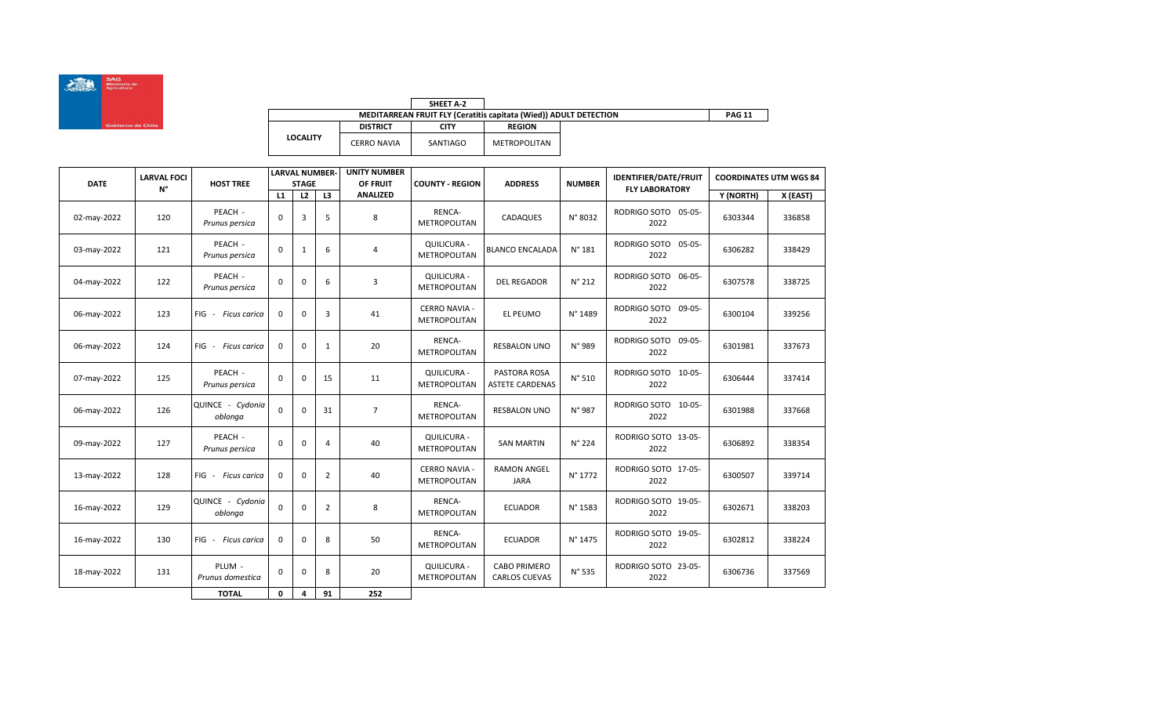

|                 |                 | SHEET A-2                                                         |               |  |
|-----------------|-----------------|-------------------------------------------------------------------|---------------|--|
|                 |                 | MEDITARREAN FRUIT FLY (Ceratitis capitata (Wied)) ADULT DETECTION | <b>PAG 11</b> |  |
|                 | <b>DISTRICT</b> | CITY                                                              | <b>REGION</b> |  |
| <b>LOCALITY</b> | CERRO NAVIA     | SANTIAGO                                                          | METROPOLITAN  |  |

| <b>DATE</b> | <b>LARVAL FOCI</b> | <b>HOST TREE</b>            |             | <b>LARVAL NUMBER-</b><br><b>STAGE</b> |                | <b>UNITY NUMBER</b><br>OF FRUIT | <b>COUNTY - REGION</b>                      | <b>ADDRESS</b>                              | <b>NUMBER</b>   | <b>IDENTIFIER/DATE/FRUIT</b>        | <b>COORDINATES UTM WGS 84</b> |          |
|-------------|--------------------|-----------------------------|-------------|---------------------------------------|----------------|---------------------------------|---------------------------------------------|---------------------------------------------|-----------------|-------------------------------------|-------------------------------|----------|
|             | N°                 |                             | L1          | L2                                    | L3             | <b>ANALIZED</b>                 |                                             |                                             |                 | <b>FLY LABORATORY</b>               | Y (NORTH)                     | X (EAST) |
| 02-may-2022 | 120                | PEACH -<br>Prunus persica   | $\Omega$    | 3                                     | 5              | 8                               | RENCA-<br><b>METROPOLITAN</b>               | CADAQUES                                    | N° 8032         | RODRIGO SOTO 05-05-<br>2022         | 6303344                       | 336858   |
| 03-may-2022 | 121                | PEACH -<br>Prunus persica   | 0           | $\mathbf{1}$                          | 6              | 4                               | QUILICURA -<br><b>METROPOLITAN</b>          | <b>BLANCO ENCALADA</b>                      | $N^{\circ}$ 181 | RODRIGO SOTO 05-05-<br>2022         | 6306282                       | 338429   |
| 04-may-2022 | 122                | PEACH -<br>Prunus persica   | 0           | $\mathbf 0$                           | 6              | 3                               | <b>QUILICURA -</b><br>METROPOLITAN          | <b>DEL REGADOR</b>                          | $N^{\circ}$ 212 | RODRIGO SOTO<br>06-05-<br>2022      | 6307578                       | 338725   |
| 06-may-2022 | 123                | FIG - Ficus carica          | 0           | $\mathbf 0$                           | 3              | 41                              | <b>CERRO NAVIA -</b><br><b>METROPOLITAN</b> | EL PEUMO                                    | N° 1489         | RODRIGO SOTO<br>09-05-<br>2022      | 6300104                       | 339256   |
| 06-may-2022 | 124                | FIG - Ficus carica          | 0           | $\mathbf 0$                           | 1              | 20                              | RENCA-<br><b>METROPOLITAN</b>               | <b>RESBALON UNO</b>                         | N° 989          | RODRIGO SOTO<br>$09 - 05 -$<br>2022 | 6301981                       | 337673   |
| 07-may-2022 | 125                | PEACH -<br>Prunus persica   | 0           | $\mathbf 0$                           | 15             | 11                              | QUILICURA -<br><b>METROPOLITAN</b>          | PASTORA ROSA<br><b>ASTETE CARDENAS</b>      | N° 510          | RODRIGO SOTO 10-05-<br>2022         | 6306444                       | 337414   |
| 06-may-2022 | 126                | QUINCE - Cydonia<br>oblonga | $\mathbf 0$ | $\mathbf 0$                           | 31             | $\overline{7}$                  | RENCA-<br><b>METROPOLITAN</b>               | <b>RESBALON UNO</b>                         | N° 987          | RODRIGO SOTO 10-05-<br>2022         | 6301988                       | 337668   |
| 09-may-2022 | 127                | PEACH -<br>Prunus persica   | 0           | 0                                     | 4              | 40                              | <b>QUILICURA -</b><br><b>METROPOLITAN</b>   | <b>SAN MARTIN</b>                           | N° 224          | RODRIGO SOTO 13-05-<br>2022         | 6306892                       | 338354   |
| 13-may-2022 | 128                | FIG - Ficus carica          | 0           | $\mathbf 0$                           | 2              | 40                              | <b>CERRO NAVIA -</b><br><b>METROPOLITAN</b> | <b>RAMON ANGEL</b><br><b>JARA</b>           | N° 1772         | RODRIGO SOTO 17-05-<br>2022         | 6300507                       | 339714   |
| 16-may-2022 | 129                | QUINCE - Cydonia<br>oblonga | 0           | $\mathbf 0$                           | $\overline{2}$ | 8                               | RENCA-<br><b>METROPOLITAN</b>               | <b>ECUADOR</b>                              | N° 1583         | RODRIGO SOTO 19-05-<br>2022         | 6302671                       | 338203   |
| 16-may-2022 | 130                | FIG - Ficus carica          | 0           | $\mathbf 0$                           | 8              | 50                              | RENCA-<br><b>METROPOLITAN</b>               | <b>ECUADOR</b>                              | N° 1475         | RODRIGO SOTO 19-05-<br>2022         | 6302812                       | 338224   |
| 18-may-2022 | 131                | PLUM -<br>Prunus domestica  | 0           | $\mathbf 0$                           | 8              | 20                              | QUILICURA -<br>METROPOLITAN                 | <b>CABO PRIMERO</b><br><b>CARLOS CUEVAS</b> | N° 535          | RODRIGO SOTO 23-05-<br>2022         | 6306736                       | 337569   |
|             |                    | <b>TOTAL</b>                | 0           | 4                                     | 91             | 252                             |                                             |                                             |                 |                                     |                               |          |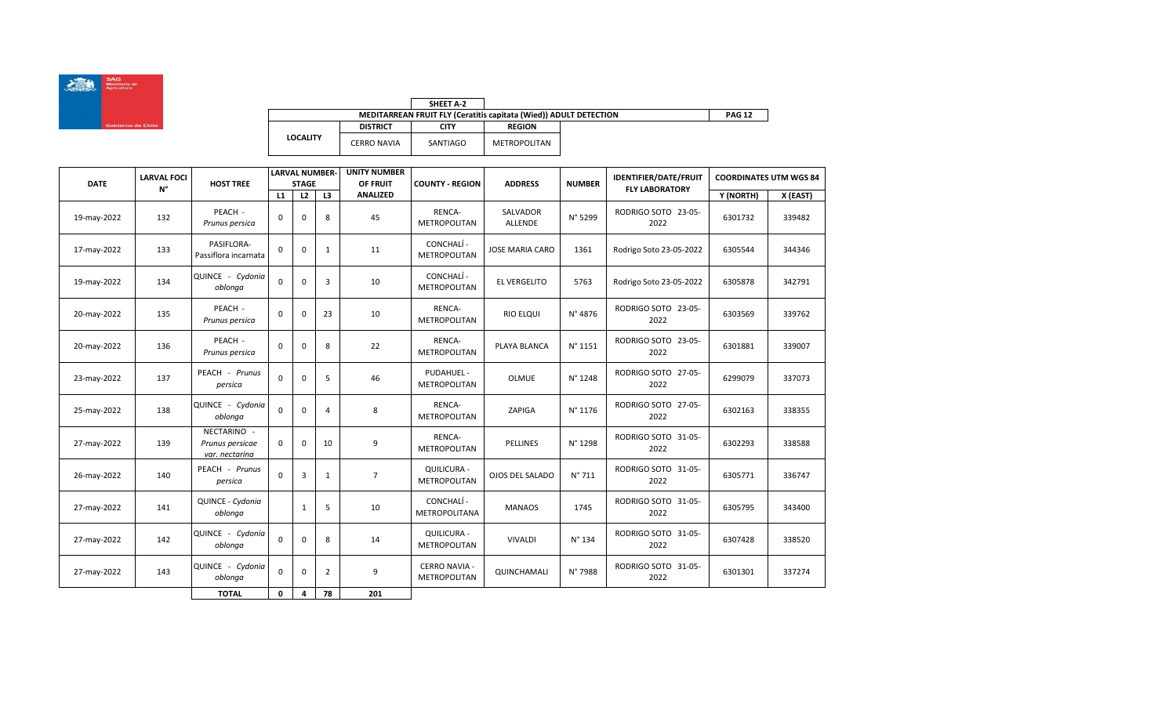

|                 |                                                                   | SHEET A-2 |               |  |  |  |  |  |  |
|-----------------|-------------------------------------------------------------------|-----------|---------------|--|--|--|--|--|--|
|                 | MEDITARREAN FRUIT FLY (Ceratitis capitata (Wied)) ADULT DETECTION |           |               |  |  |  |  |  |  |
|                 | <b>DISTRICT</b>                                                   | CITY      | <b>REGION</b> |  |  |  |  |  |  |
| <b>LOCALITY</b> | CERRO NAVIA                                                       | SANTIAGO  | METROPOLITAN  |  |  |  |  |  |  |

| <b>DATE</b><br>N° | <b>LARVAL FOCI</b> | <b>HOST TREE</b>                                 |          | <b>LARVAL NUMBER-</b><br><b>STAGE</b> |    | <b>UNITY NUMBER</b><br>OF FRUIT<br><b>COUNTY - REGION</b> | <b>ADDRESS</b>                              | <b>NUMBER</b>          | <b>IDENTIFIER/DATE/FRUIT</b> | <b>COORDINATES UTM WGS 84</b> |           |          |
|-------------------|--------------------|--------------------------------------------------|----------|---------------------------------------|----|-----------------------------------------------------------|---------------------------------------------|------------------------|------------------------------|-------------------------------|-----------|----------|
|                   |                    |                                                  | L1       | L2                                    | L3 | <b>ANALIZED</b>                                           |                                             |                        |                              | <b>FLY LABORATORY</b>         | Y (NORTH) | X (EAST) |
| 19-may-2022       | 132                | PEACH -<br>Prunus persica                        | 0        | $\mathbf 0$                           | 8  | 45                                                        | RENCA-<br><b>METROPOLITAN</b>               | SALVADOR<br>ALLENDE    | N° 5299                      | RODRIGO SOTO 23-05-<br>2022   | 6301732   | 339482   |
| 17-may-2022       | 133                | PASIFLORA-<br>Passiflora incarnata               | 0        | $\mathbf 0$                           | 1  | 11                                                        | CONCHALÍ -<br><b>METROPOLITAN</b>           | <b>JOSE MARIA CARO</b> | 1361                         | Rodrigo Soto 23-05-2022       | 6305544   | 344346   |
| 19-may-2022       | 134                | QUINCE - Cydonia<br>oblonga                      | 0        | $\mathbf 0$                           | 3  | 10                                                        | CONCHALÍ -<br><b>METROPOLITAN</b>           | <b>EL VERGELITO</b>    | 5763                         | Rodrigo Soto 23-05-2022       | 6305878   | 342791   |
| 20-may-2022       | 135                | PEACH -<br>Prunus persica                        | 0        | $\mathbf 0$                           | 23 | 10                                                        | RENCA-<br><b>METROPOLITAN</b>               | <b>RIO ELQUI</b>       | N° 4876                      | RODRIGO SOTO 23-05-<br>2022   | 6303569   | 339762   |
| 20-may-2022       | 136                | PEACH -<br>Prunus persica                        | 0        | $\mathbf 0$                           | 8  | 22                                                        | RENCA-<br>METROPOLITAN                      | PLAYA BLANCA           | N° 1151                      | RODRIGO SOTO 23-05-<br>2022   | 6301881   | 339007   |
| 23-may-2022       | 137                | PEACH - Prunus<br>persica                        | 0        | $\mathbf 0$                           | 5  | 46                                                        | PUDAHUEL -<br><b>METROPOLITAN</b>           | <b>OLMUE</b>           | N° 1248                      | RODRIGO SOTO 27-05-<br>2022   | 6299079   | 337073   |
| 25-may-2022       | 138                | QUINCE - Cydonia<br>oblonga                      | 0        | $\mathbf 0$                           | 4  | 8                                                         | RENCA-<br>METROPOLITAN                      | ZAPIGA                 | N° 1176                      | RODRIGO SOTO 27-05-<br>2022   | 6302163   | 338355   |
| 27-may-2022       | 139                | NECTARINO -<br>Prunus persicae<br>var. nectarina | 0        | $\mathbf 0$                           | 10 | 9                                                         | RENCA-<br>METROPOLITAN                      | <b>PELLINES</b>        | N° 1298                      | RODRIGO SOTO 31-05-<br>2022   | 6302293   | 338588   |
| 26-may-2022       | 140                | PEACH - Prunus<br>persica                        | $\Omega$ | 3                                     | 1  | $\overline{7}$                                            | QUILICURA -<br>METROPOLITAN                 | OJOS DEL SALADO        | $N^{\circ}$ 711              | RODRIGO SOTO 31-05-<br>2022   | 6305771   | 336747   |
| 27-may-2022       | 141                | QUINCE - Cydonia<br>oblonga                      |          | $\mathbf{1}$                          | 5  | 10                                                        | CONCHALÍ -<br><b>METROPOLITANA</b>          | <b>MANAOS</b>          | 1745                         | RODRIGO SOTO 31-05-<br>2022   | 6305795   | 343400   |
| 27-may-2022       | 142                | QUINCE - Cydonia<br>oblonga                      | 0        | $\mathbf 0$                           | 8  | 14                                                        | QUILICURA -<br><b>METROPOLITAN</b>          | <b>VIVALDI</b>         | N° 134                       | RODRIGO SOTO 31-05-<br>2022   | 6307428   | 338520   |
| 27-may-2022       | 143                | QUINCE - Cydonia<br>oblonga                      | 0        | $\mathbf 0$                           | 2  | 9                                                         | <b>CERRO NAVIA -</b><br><b>METROPOLITAN</b> | QUINCHAMALI            | N° 7988                      | RODRIGO SOTO 31-05-<br>2022   | 6301301   | 337274   |
|                   |                    | <b>TOTAL</b>                                     | 0        | 4                                     | 78 | 201                                                       |                                             |                        |                              |                               |           |          |